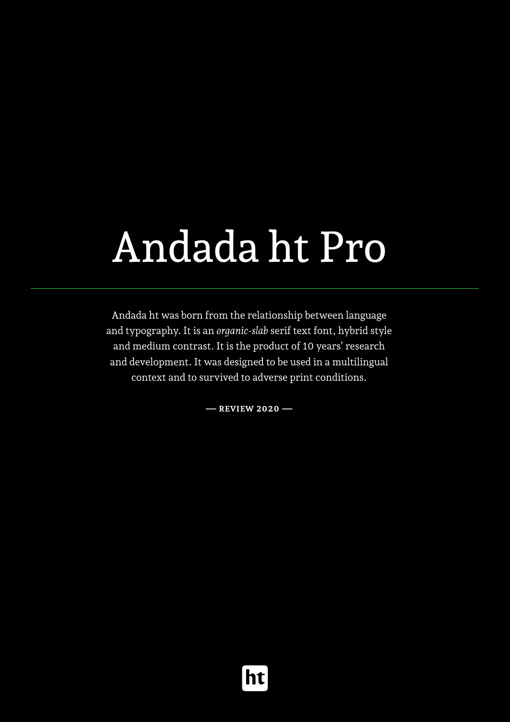# Andada ht Pro

Andada ht was born from the relationship between language and typography. It is an *organic-slab* serif text font, hybrid style and medium contrast. It is the product of 10 years' research and development. It was designed to be used in a multilingual context and to survived to adverse print conditions.

**— Review 2020 —**

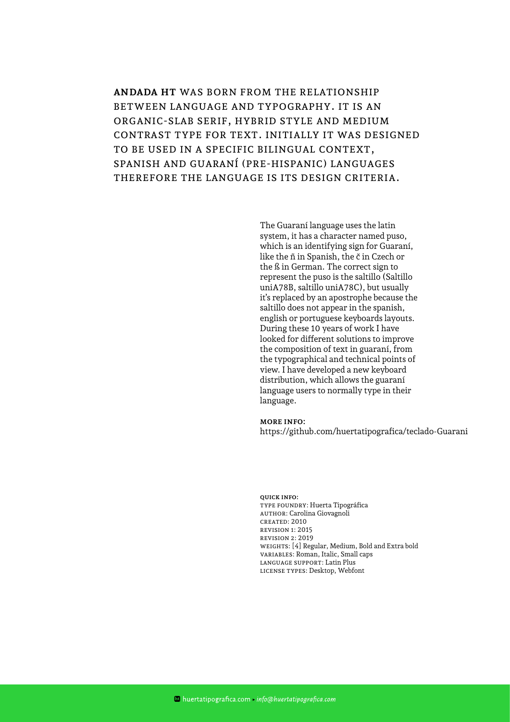**Andada ht** was born from the relationship between language and typography. It is an organic-slab serif, hybrid style and medium contrast type for text. Initially it was designed to be used in a specific bilingual context, Spanish and Guaraní (pre-hispanic) languages therefore the language is its design criteria.

> The Guaraní language uses the latin system, it has a character named puso, which is an identifying sign for Guaraní, like the ñ in Spanish, the č in Czech or the ß in German. The correct sign to represent the puso is the saltillo (Saltillo uniA78B, saltillo uniA78C), but usually it's replaced by an apostrophe because the saltillo does not appear in the spanish, english or portuguese keyboards layouts. During these 10 years of work I have looked for different solutions to improve the composition of text in guaraní, from the typographical and technical points of view. I have developed a new keyboard distribution, which allows the guaraní language users to normally type in their language.

#### **More info:**

https://github.com/huertatipografica/teclado-Guarani

#### **Quick info:**

Type Foundry: Huerta Tipográfica Author: Carolina Giovagnoli Created: 2010 Revision 1: 2015 Revision 2: 2019 Weights: [4] Regular, Medium, Bold and Extra bold Variables: Roman, Italic, Small caps Language support: Latin Plus License Types: Desktop, Webfont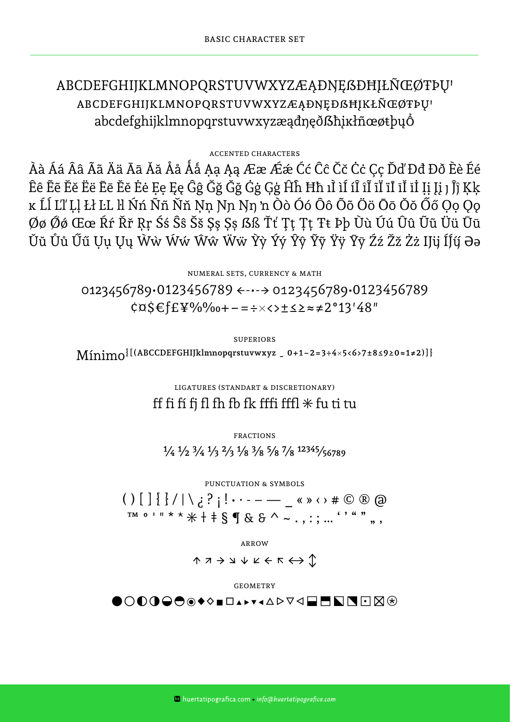### ABCDEFGHIJKLMNOPQRSTUVWXYZÆĄÐNĘßÐĦJŁÑŒØTÞU ABCDEFGHIJKLMNOPQRSTUVWXYZÆAÐNEÐSHIKŁÑŒØTÞU abcdefghijklmnopqrstuvwxyzæadneðßhiklñœøtþuÓ

#### **ACCENTED CHARACTERS**

Àà Áá Ââ Ãã Ää Ää Āā Ăǎ Åå Áå Ạạ Ąą Ææ Ǽǽ Ćć Ĉĉ Čč Ċċ Çç Ďď Đđ Đð Èè Éé Êê Êẽ Ěĕ Ëë Ēē Ĕĕ Ėė Ėę Ęę Ĝĝ Ğğ Ğğ Ġġ Ġġ Ģģ Ĥĥ Ħħ ıÌ ìÍ íÎ îĨ ĩĬ ïĪ īĬ iİ ļi Jì Jĵĵ Ķķ ĸ Ĺĺ Ľľ Ļļ Łł ĿL ŀl Ńń Ññ Ňň Ņn Ŋn Ŋn 'n Òò Óó Ôô Õõ Öö Ōō Ŏŏ Őő Oo Oo Øø Øø Œœ Ŕŕ Řř Ŗŗ Śś Ŝŝ Šš Şş Șș ßß Ťť Ţţ Ţţ Ŧŧ Þþ Ùù Úú Ûû Ũũ Üü Ūū Ŭŭ Ůů Űű Uu Uu Ŵẁ Ŵẃ Ŵŵ Ŵẅ Ŷỳ Ýý Ŷŷ Ÿỹ Ÿÿ Ÿӯ Źź Žž Żż IJÿ ÍJý Əə

> NUMERAL SETS, CURRENCY & MATH 0123456789.0123456789  $\leftarrow \rightarrow$  0123456789.0123456789  $\cos \xi f E \Psi$ %%0+-=÷×<>±≤≥≈≠2°13'48"

**SUPERIORS**  $\text{Mínim}$  ((ABCCDEFGHIJklmnopqrstuvwxyz \_ 0+1-2=3÷4×5<6>7±8≤9≥0≈1≠2)]}

> LIGATURES (STANDART & DISCRETIONARY) ff fi fi fj fl fh fb fk fffi fffl $*$  fu ti tu

**FRACTIONS**  $\frac{1}{4}$   $\frac{1}{2}$   $\frac{3}{4}$   $\frac{1}{3}$   $\frac{2}{3}$   $\frac{1}{8}$   $\frac{3}{8}$   $\frac{5}{8}$   $\frac{7}{8}$   $\frac{12345}{56789}$ 

PUNCTUATION & SYMBOLS 

**ARROW** 

 $\uparrow \negthinspace \wedge \negthinspace \rightarrow \negthinspace \negthinspace \vee \negthinspace \vee \vee \vee \negthinspace \vee \negthinspace \negthinspace \wedge \negthinspace \negthinspace \wedge \negthinspace \negthinspace \wedge \negthinspace \negthinspace \vee \negthinspace \vee$ 

**GEOMETRY** 

<u>●◯◐◑◒◓◉◆◇◾◻▴▸▾◂▵▻▿◁▤▬◣◥◥</u>⊓◪⊛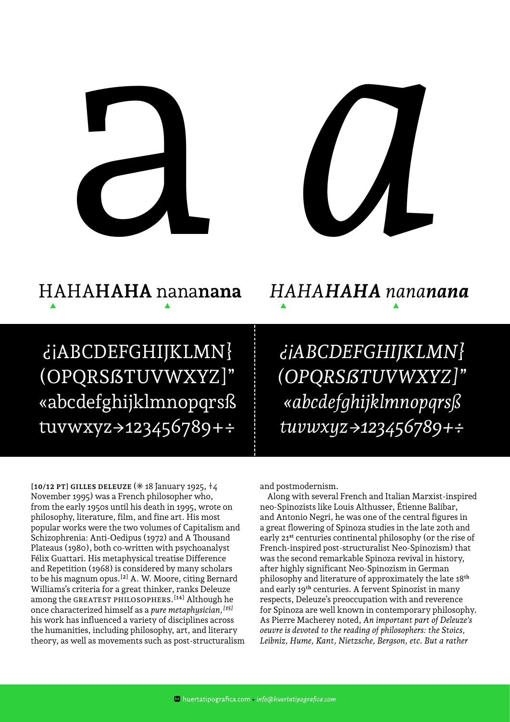



### HAHA**HAHA** nana**nana**  $\blacktriangle$

¿¡ABCDEFGHIJKLMN} (OPQRSẞTUVWXYZ]" «abcdefghijklmnopqrsß tuvwxyz→123456789+÷

*HAHAHAHA nananana*

*¿¡ABCDEFGHIJKLMN} (OPQRSẞTUVWXYZ]" «abcdefghijklmnopqrsß tuvwxyz->123456789+÷*

**[10/12 PT] GILLES DELEUZE (\* 18 January 1925,**  $\pm 4$ November 1995) was a French philosopher who, from the early 1950s until his death in 1995, wrote on philosophy, literature, film, and fine art. His most popular works were the two volumes of Capitalism and Schizophrenia: Anti-Oedipus (1972) and A Thousand Plateaus (1980), both co-written with psychoanalyst Félix Guattari. His metaphysical treatise Difference and Repetition (1968) is considered by many scholars to be his magnum opus.[2] A. W. Moore, citing Bernard Williams's criteria for a great thinker, ranks Deleuze among the GREATEST PHILOSOPHERS.<sup>[14]</sup> Although he once characterized himself as a *pure metaphysician,[15]* his work has influenced a variety of disciplines across the humanities, including philosophy, art, and literary theory, as well as movements such as post-structuralism and postmodernism.

Along with several French and Italian Marxist-inspired neo-Spinozists like Louis Althusser, Étienne Balibar, and Antonio Negri, he was one of the central figures in a great flowering of Spinoza studies in the late 20th and early 21<sup>st</sup> centuries continental philosophy (or the rise of French-inspired post-structuralist Neo-Spinozism) that was the second remarkable Spinoza revival in history, after highly significant Neo-Spinozism in German philosophy and literature of approximately the late 18th and early 19th centuries. A fervent Spinozist in many respects, Deleuze's preoccupation with and reverence for Spinoza are well known in contemporary philosophy. As Pierre Macherey noted, *An important part of Deleuze's oeuvre is devoted to the reading of philosophers: the Stoics, Leibniz, Hume, Kant, Nietzsche, Bergson, etc. But a rather*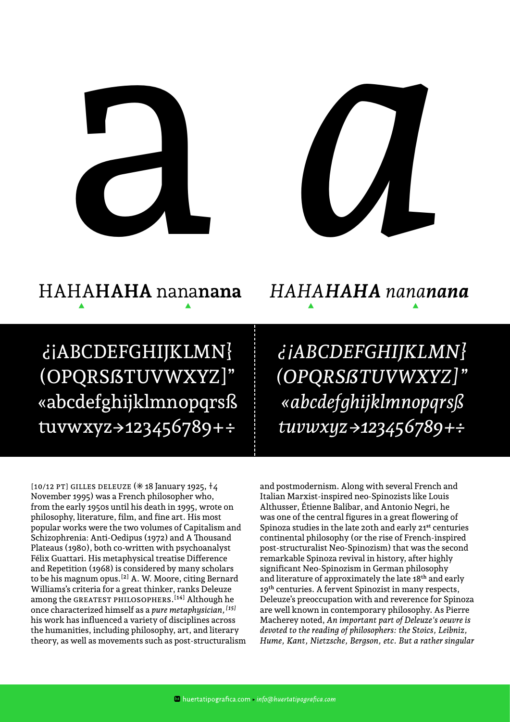



### HAHA**HAHA** nana**nana** *HAHAHAHA nananana*  $\blacktriangle$   $\blacktriangle$   $\blacktriangle$   $\blacktriangle$   $\blacktriangle$   $\blacktriangle$   $\blacktriangle$   $\blacktriangle$   $\blacktriangle$   $\blacktriangle$   $\blacktriangle$   $\blacktriangle$   $\blacktriangle$   $\blacktriangle$   $\blacktriangle$   $\blacktriangle$   $\blacktriangle$   $\blacktriangle$   $\blacktriangle$   $\blacktriangle$   $\blacktriangle$   $\blacktriangle$   $\blacktriangle$   $\blacktriangle$   $\blacktriangle$   $\blacktriangle$   $\blacktriangle$   $\blacktriangle$   $\blacktriangle$   $\blacktriangle$   $\blacktriangle$   $\blacktriangle$   $\blacktriangle$   $\blacktriangle$   $\blacktriangle$   $\blacktriangle$   $\blacktriangle$

¿¡ABCDEFGHIJKLMN} (OPQRSẞTUVWXYZ]" «abcdefghijklmnopqrsß tuvwxyz->123456789+÷

*¿¡ABCDEFGHIJKLMN} (OPQRSẞTUVWXYZ]" «abcdefghijklmnopqrsß tuvwxyz->123456789+÷*

 $[10/12$  PT] GILLES DELEUZE ( $*18$  January 1925,  $\dagger$ 4 November 1995) was a French philosopher who, from the early 1950s until his death in 1995, wrote on philosophy, literature, film, and fine art. His most popular works were the two volumes of Capitalism and Schizophrenia: Anti-Oedipus (1972) and A Thousand Plateaus (1980), both co-written with psychoanalyst Félix Guattari. His metaphysical treatise Difference and Repetition (1968) is considered by many scholars to be his magnum opus.[2] A. W. Moore, citing Bernard Williams's criteria for a great thinker, ranks Deleuze among the GREATEST PHILOSOPHERS.<sup>[14]</sup> Although he once characterized himself as a *pure metaphysician,[15]* his work has influenced a variety of disciplines across the humanities, including philosophy, art, and literary theory, as well as movements such as post-structuralism and postmodernism. Along with several French and Italian Marxist-inspired neo-Spinozists like Louis Althusser, Étienne Balibar, and Antonio Negri, he was one of the central figures in a great flowering of Spinoza studies in the late 20th and early 21<sup>st</sup> centuries continental philosophy (or the rise of French-inspired post-structuralist Neo-Spinozism) that was the second remarkable Spinoza revival in history, after highly significant Neo-Spinozism in German philosophy and literature of approximately the late 18th and early 19<sup>th</sup> centuries. A fervent Spinozist in many respects, Deleuze's preoccupation with and reverence for Spinoza are well known in contemporary philosophy. As Pierre Macherey noted, *An important part of Deleuze's oeuvre is devoted to the reading of philosophers: the Stoics, Leibniz, Hume, Kant, Nietzsche, Bergson, etc. But a rather singular*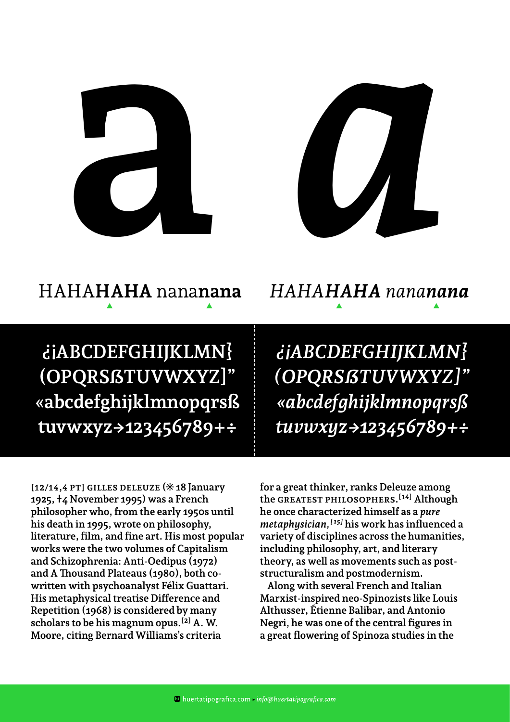



### HAHA**HAHA** nana**nana** *HAHAHAHA nananana*

# $\blacktriangle$   $\blacktriangle$   $\blacktriangle$   $\blacktriangle$   $\blacktriangle$   $\blacktriangle$   $\blacktriangle$

**¿¡ABCDEFGHIJKLMN} (OPQRSẞTUVWXYZ]" «abcdefghijklmnopqrsß tuvwxyz->123456789+÷**

*¿¡ABCDEFGHIJKLMN} (OPQRSẞTUVWXYZ]" «abcdefghijklmnopqrsß tuvwxyz->123456789+÷*

[12/14,4 PT] GILLES DELEUZE (\* 18 January **1925, †4 November 1995) was a French philosopher who, from the early 1950s until his death in 1995, wrote on philosophy, literature, film, and fine art. His most popular works were the two volumes of Capitalism and Schizophrenia: Anti-Oedipus (1972) and A Thousand Plateaus (1980), both cowritten with psychoanalyst Félix Guattari. His metaphysical treatise Difference and Repetition (1968) is considered by many scholars to be his magnum opus.[2] A. W. Moore, citing Bernard Williams's criteria** 

**for a great thinker, ranks Deleuze among the greatest philosophers.[14] Although he once characterized himself as a** *pure metaphysician,[15]* **his work has influenced a variety of disciplines across the humanities, including philosophy, art, and literary theory, as well as movements such as poststructuralism and postmodernism.**

**Along with several French and Italian Marxist-inspired neo-Spinozists like Louis Althusser, Étienne Balibar, and Antonio Negri, he was one of the central figures in a great flowering of Spinoza studies in the**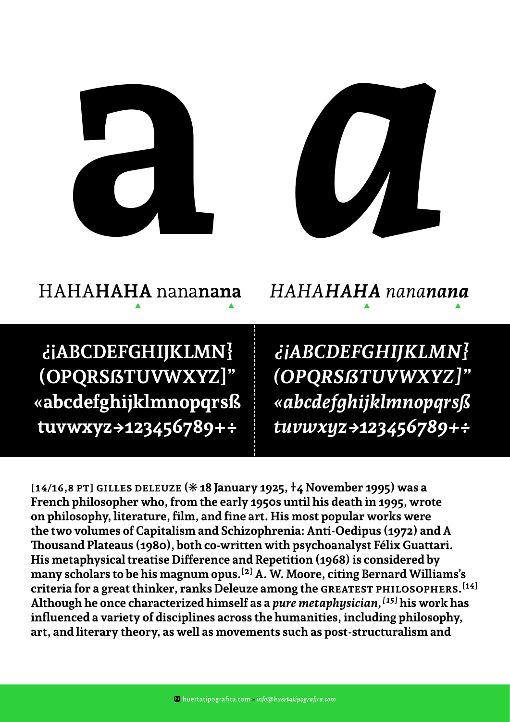



# HAHA**HAHA** nana**nana** *HAHAHAHA nananana*

 $\blacktriangle$   $\blacktriangle$   $\blacktriangle$ 

**¿¡ABCDEFGHIJKLMN} (OPQRSẞTUVWXYZ]" «abcdefghijklmnopqrsß tuvwxyz->123456789+÷**

*¿¡ABCDEFGHIJKLMN} (OPQRSẞTUVWXYZ]" «abcdefghijklmnopqrsß tuvwxyz->123456789+÷*

**[14/16,8 pt] Gilles Deleuze ([\*] 18 January 1925, †4 November 1995) was a French philosopher who, from the early 1950s until his death in 1995, wrote on philosophy, literature, film, and fine art. His most popular works were the two volumes of Capitalism and Schizophrenia: Anti-Oedipus (1972) and A Thousand Plateaus (1980), both co-written with psychoanalyst Félix Guattari. His metaphysical treatise Difference and Repetition (1968) is considered by many scholars to be his magnum opus.[2] A. W. Moore, citing Bernard Williams's criteria for a great thinker, ranks Deleuze among the greatest philosophers.[14] Although he once characterized himself as a** *pure metaphysician,[15]* **his work has influenced a variety of disciplines across the humanities, including philosophy, art, and literary theory, as well as movements such as post-structuralism and**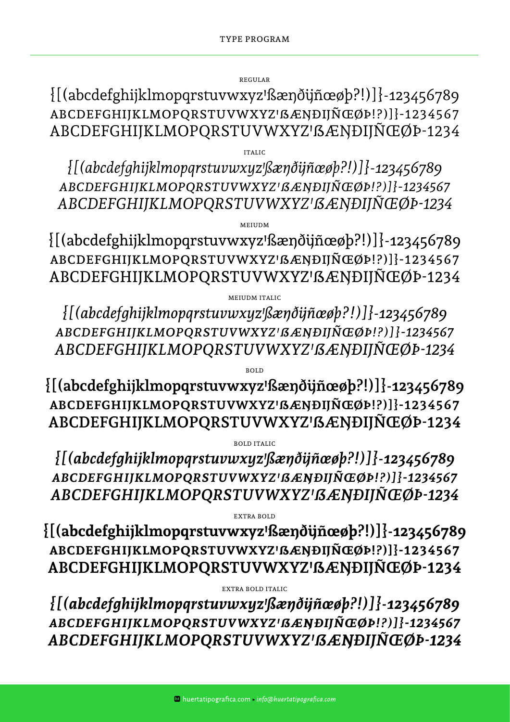Regular

 ${[(abcdefghijklmopqrstuvwxyz!gængðijñæøþ?!)]}{-123456789}$ ABCDEFGHIJKLMOPQRSTUVWXYZ'߯NÐIJÑŒØÞ!?)]}-1234567 ABCDEFGHIJKLMOPQRSTUVWXYZ'߯NÐIJÑŒØÞ-1234

Italic

*{[(abcdefghijklmopqrstuvwxyzꞌßæŋðijñœøþ?!)]}-123456789 abcdefghijklmopqrstuvwxyzꞌẞæŋðijñœøþ!?)]}-1234567 ABCDEFGHIJKLMOPQRSTUVWXYZꞋ߯ŊÐIJÑŒØÞ-1234*

Meiudm

 ${[(abcdefghijklmopqrstuvwxyz! \&eqn\delta ijn\&eqn\epsilon_0]}.$ ABCDEFGHIJKLMOPQRSTUVWXYZ'߯NÐIJÑŒØÞ!?)]}-1234567 ABCDEFGHIJKLMOPQRSTUVWXYZ' SÆNÐIJÑŒØÞ-1234

Meiudm italic

*{[(abcdefghijklmopqrstuvwxyzꞌßæŋðijñœøþ?!)]}-123456789 abcdefghijklmopqrstuvwxyzꞌẞæŋðijñœøþ!?)]}-1234567 ABCDEFGHIJKLMOPQRSTUVWXYZꞋ߯ŊÐIJÑŒØÞ-1234*

**{[(abcdefghijklmopqrstuvwxyzꞌßæŋðijñœøþ?!)]}-123456789 abcdefghijklmopqrstuvwxyzꞌẞæŋðijñœøþ!?)]}-1234567 ABCDEFGHIJKLMOPQRSTUVWXYZꞋ߯ŊÐIJÑŒØÞ-1234**

**BOLD** 

bold italic

*{[(abcdefghijklmopqrstuvwxyzꞌßæŋðijñœøþ?!)]}-123456789 abcdefghijklmopqrstuvwxyzꞌẞæŋðijñœøþ!?)]}-1234567 ABCDEFGHIJKLMOPQRSTUVWXYZꞋ߯ŊÐIJÑŒØÞ-1234*

extra bold

**{[(abcdefghijklmopqrstuvwxyzꞌßæŋðijñœøþ?!)]}-123456789 abcdefghijklmopqrstuvwxyzꞌẞæŋðijñœøþ!?)]}-1234567 ABCDEFGHIJKLMOPQRSTUVWXYZꞋ߯ŊÐIJÑŒØÞ-1234**

extra bold italic

*{[(abcdefghijklmopqrstuvwxyzꞌßæŋðijñœøþ?!)]}-123456789 abcdefghijklmopqrstuvwxyzꞌẞæŋðijñœøþ!?)]}-1234567 ABCDEFGHIJKLMOPQRSTUVWXYZꞋ߯ŊÐIJÑŒØÞ-1234*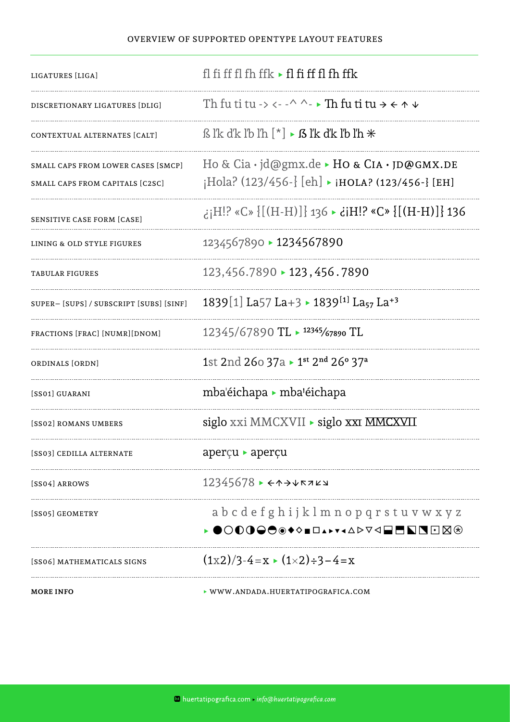#### Overview of supported OpenType layout features

| <b>MORE INFO</b>                                                      | ▶ WWW.ANDADA.HUERTATIPOGRAFICA.COM                                                                                        |
|-----------------------------------------------------------------------|---------------------------------------------------------------------------------------------------------------------------|
| [SS06] MATHEMATICALS SIGNS                                            | $(1x2)/3-4=x \cdot (1\times 2)+3-4=x$                                                                                     |
| [SS05] GEOMETRY                                                       | a b c d e f g h i j k l m n o p q r s t u v w x y z<br>◉◯◐◑◒◓◉◆◇◾◻▴▸▾◂▵▻▿◁▤▦◥◥◘◪▧◈                                        |
| [SS04] ARROWS                                                         | $12345678$ $\rightarrow$ $\leftrightarrow$ $\rightarrow$ $\forall$ $\forall$ $\forall$ $\forall$                          |
| [SS03] CEDILLA ALTERNATE                                              | aperçu ► aperçu                                                                                                           |
| [SS02] ROMANS UMBERS                                                  | siglo xxi MMCXVII ► siglo xxi MMCXVII                                                                                     |
| [SS01] GUARANI                                                        | mba'éichapa ► mba'éichapa                                                                                                 |
| ORDINALS [ORDN]                                                       | 1st 2nd 260 37a > 1st 2nd 260 37a                                                                                         |
| FRACTIONS [FRAC] [NUMR][DNOM]                                         | $12345/67890$ TL $\triangleright$ 12345/67890 TL                                                                          |
| SUPER-[SUPS]/SUBSCRIPT [SUBS] [SINF]                                  | 1839[1] La57 La+3 > 1839 <sup>[1]</sup> La <sub>57</sub> La <sup>+3</sup>                                                 |
| <b>TABULAR FIGURES</b>                                                | 123,456.7890 > 123,456.7890                                                                                               |
| LINING & OLD STYLE FIGURES                                            | 1234567890 > 1234567890                                                                                                   |
| SENSITIVE CASE FORM [CASE]                                            | 136 {[(H-H)]} ×C» {[(H-H)]} 136 → iH!? ×C» {[(H-H)]} 236                                                                  |
| SMALL CAPS FROM LOWER CASES [SMCP]<br>SMALL CAPS FROM CAPITALS [C2SC] | Ho & Cia $\cdot$ jd@gmx.de $\triangleright$ Ho & CIA $\cdot$ JD@GMX.DE<br>¡Hola? (123/456-} [eh] ► ¡HOLA? (123/456-} [EH] |
| CONTEXTUAL ALTERNATES [CALT]                                          | is lik dik lib lih $[*] \triangleright$ is lik dik lib lih $*$                                                            |
| DISCRETIONARY LIGATURES [DLIG]                                        | Th fu ti tu -> <- -^ ^- > Th fu ti tu $\rightarrow$ < $\land$ $\lor$                                                      |
| LIGATURES [LIGA]                                                      | fl fi ff fl fh ffk $\triangleright$ fl fi ff fl fh ffk                                                                    |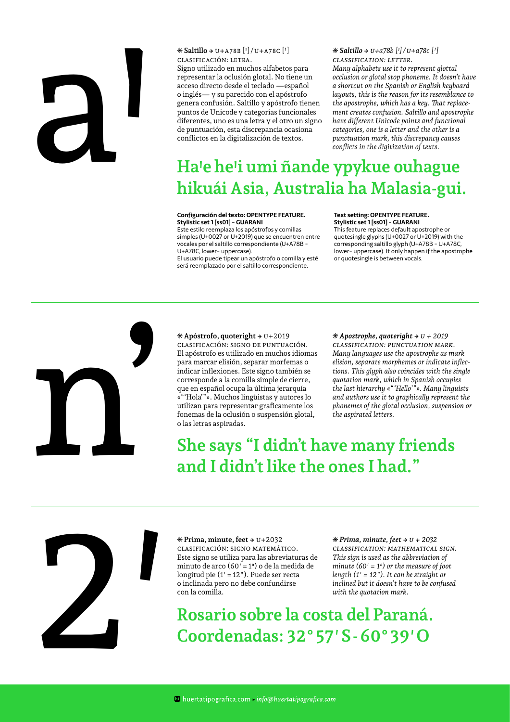# al

**[\*] Saltillo ->** u+a78b [ꞌ] /u+a78c [Ꞌ] clasificación: letra.

Signo utilizado en muchos alfabetos para representar la oclusión glotal. No tiene un acceso directo desde el teclado —español o inglés— y su parecido con el apóstrofo genera confusión. Saltillo y apóstrofo tienen puntos de Unicode y categorías funcionales diferentes, uno es una letra y el otro un signo de puntuación, esta discrepancia ocasiona conflictos en la digitalización de textos.

*[\*] Saltillo -> U+a78b [ꞌ] / U+a78c [Ꞌ] Classification: Letter. Many alphabets use it to represent glottal occlusion or glotal stop phoneme. It doesn't have a shortcut on the Spanish or English keyboard layouts, this is the reason for its resemblance to the apostrophe, which has a key. That replacement creates confusion. Saltillo and apostrophe have different Unicode points and functional categories, one is a letter and the other is a punctuation mark, this discrepancy causes conflicts in the digitization of texts.*

# **Ha'e he'i umi ñande ypykue ouhague hikuái Asia, Australia ha Malasia-gui.**

#### **Configuración del texto: OPENTYPE FEATURE. Stylistic set 1 [ss01] - GUARANI**

Este estilo reemplaza los apóstrofos y comillas simples (U+0027 or U+2019) que se encuentren entre vocales por el saltillo correspondiente (U+A78B - U+A78C, lower- uppercase).

El usuario puede tipear un apóstrofo o comilla y esté será reemplazado por el saltillo correspondiente.

#### **Text setting: OPENTYPE FEATURE. Stylistic set 1 [ss01] - GUARANI**

This feature replaces default apostrophe or quotesingle glyphs (U+0027 or U+2019) with the corresponding saltillo glyph (U+A78B - U+A78C, lower- uppercase). It only happen if the apostrophe or quotesingle is between vocals.



**[\*] Apóstrofo, quoteright ->** U+2019 Clasificación: Signo de puntuación. El apóstrofo es utilizado en muchos idiomas para marcar elisión, separar morfemas o indicar inflexiones. Este signo también se corresponde a la comilla simple de cierre, que en español ocupa la última jerarquía «"'Hola'"». Muchos lingüistas y autores lo utilizan para representar graficamente los fonemas de la oclusión o suspensión glotal, o las letras aspiradas.

 $*$  Apostrophe, quoteright  $\rightarrow$   $$ *Classification: Punctuation mark. Many languages use the apostrophe as mark elision, separate morphemes or indicate inflections. This glyph also coincides with the single quotation mark, which in Spanish occupies the last hierarchy «"'Hello'"». Many linguists and authors use it to graphically represent the phonemes of the glotal occlusion, suspension or the aspirated letters.*

### **She says "I didn't have many friends and I didn't like the ones I had."**

2′

**[\*] Prima, minute, feet ->** U+2032 Clasificación: Signo matemático. Este signo se utiliza para las abreviaturas de minuto de arco (60′=1º) o de la medida de longitud pie (1′=12″). Puede ser recta o inclinada pero no debe confundirse con la comilla.

*[\*] Prima, minute, feet -> U + 2032 Classification: Mathematical sign. This sign is used as the abbreviation of minute (60′ = 1º) or the measure of foot length (1′ = 12″). It can be straight or inclined but it doesn't have to be confused with the quotation mark.*

**Rosario sobre la costa del Paraná. Coordenadas: 32° 57′ S - 60° 39′ O**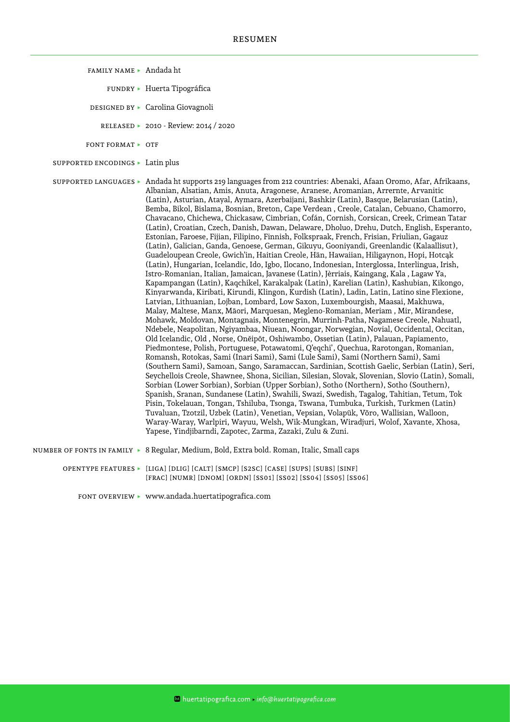- Family name ▶ Andada ht
	- Fundry ▶ Huerta Tipográfica
	- DESIGNED BY ► Carolina Giovagnoli
		- Released ▶ 2010 Review: 2014 / 2020
- FONT FORMAT ► OTF
- Supported encodings ▶ Latin plus

Supported languages ▶ Andada ht supports 219 languages from 212 countries: Abenaki, Afaan Oromo, Afar, Afrikaans, Albanian, Alsatian, Amis, Anuta, Aragonese, Aranese, Aromanian, Arrernte, Arvanitic (Latin), Asturian, Atayal, Aymara, Azerbaijani, Bashkir (Latin), Basque, Belarusian (Latin), Bemba, Bikol, Bislama, Bosnian, Breton, Cape Verdean , Creole, Catalan, Cebuano, Chamorro, Chavacano, Chichewa, Chickasaw, Cimbrian, Cofán, Cornish, Corsican, Creek, Crimean Tatar (Latin), Croatian, Czech, Danish, Dawan, Delaware, Dholuo, Drehu, Dutch, English, Esperanto, Estonian, Faroese, Fijian, Filipino, Finnish, Folkspraak, French, Frisian, Friulian, Gagauz (Latin), Galician, Ganda, Genoese, German, Gikuyu, Gooniyandi, Greenlandic (Kalaallisut), Guadeloupean Creole, Gwich'in, Haitian Creole, Hän, Hawaiian, Hiligaynon, Hopi, Hotcąk (Latin), Hungarian, Icelandic, Ido, Igbo, Ilocano, Indonesian, Interglossa, Interlingua, Irish, Istro-Romanian, Italian, Jamaican, Javanese (Latin), Jèrriais, Kaingang, Kala , Lagaw Ya, Kapampangan (Latin), Kaqchikel, Karakalpak (Latin), Karelian (Latin), Kashubian, Kikongo, Kinyarwanda, Kiribati, Kirundi, Klingon, Kurdish (Latin), Ladin, Latin, Latino sine Flexione, Latvian, Lithuanian, Lojban, Lombard, Low Saxon, Luxembourgish, Maasai, Makhuwa, Malay, Maltese, Manx, Māori, Marquesan, Megleno-Romanian, Meriam , Mir, Mirandese, Mohawk, Moldovan, Montagnais, Montenegrin, Murrinh-Patha, Nagamese Creole, Nahuatl, Ndebele, Neapolitan, Ngiyambaa, Niuean, Noongar, Norwegian, Novial, Occidental, Occitan, Old Icelandic, Old , Norse, Onĕipŏt, Oshiwambo, Ossetian (Latin), Palauan, Papiamento, Piedmontese, Polish, Portuguese, Potawatomi, Q'eqchi', Quechua, Rarotongan, Romanian, Romansh, Rotokas, Sami (Inari Sami), Sami (Lule Sami), Sami (Northern Sami), Sami (Southern Sami), Samoan, Sango, Saramaccan, Sardinian, Scottish Gaelic, Serbian (Latin), Seri, Seychellois Creole, Shawnee, Shona, Sicilian, Silesian, Slovak, Slovenian, Slovio (Latin), Somali, Sorbian (Lower Sorbian), Sorbian (Upper Sorbian), Sotho (Northern), Sotho (Southern), Spanish, Sranan, Sundanese (Latin), Swahili, Swazi, Swedish, Tagalog, Tahitian, Tetum, Tok Pisin, Tokelauan, Tongan, Tshiluba, Tsonga, Tswana, Tumbuka, Turkish, Turkmen (Latin) Tuvaluan, Tzotzil, Uzbek (Latin), Venetian, Vepsian, Volapük, Võro, Wallisian, Walloon, Waray-Waray, Warlpiri, Wayuu, Welsh, Wik-Mungkan, Wiradjuri, Wolof, Xavante, Xhosa, Yapese, Yindjibarndi, Zapotec, Zarma, Zazaki, Zulu & Zuni.

- Number of fonts in family ▶ 8 Regular, Medium, Bold, Extra bold. Roman, Italic, Small caps
	- OPENTYPE FEATURES ▶ [LIGA] [DLIG] [CALT] [SMCP] [S2SC] [CASE] [SUPS] [SUBS] [SINF] [FRAC] [NUMR] [DNOM] [ORDN] [SS01] [SS02] [SS04] [SS05] [SS06]
		- Font overview ▶ www.andada.huertatipografica.com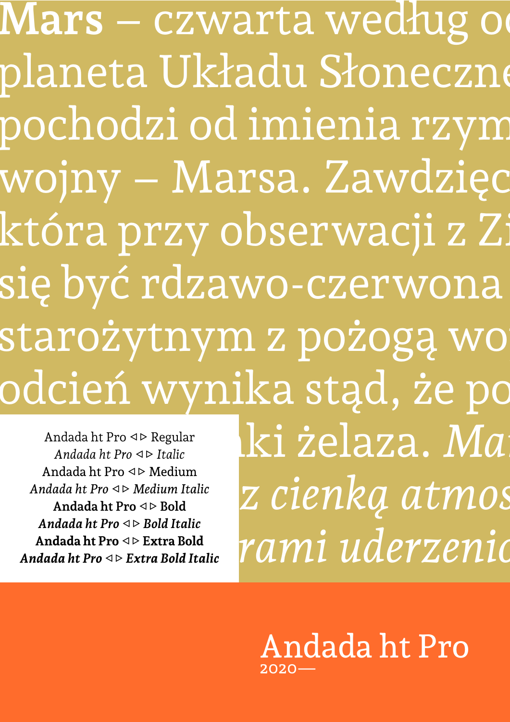**Mars** – czwarta według od planeta Układu Słoneczne pochodzi od imienia rzym wojny – Marsa. Zawdzięc która przy obserwacji z Zi się być rdzawo-czerwona starożytnym z pożogą wo odcień wynika stąd, że po

Andada ht Pro < > Regular *Andada ht Pro*  $\triangle$  *Italic* Andada ht Pro  $\triangleleft \triangleright$  Medium Andada ht Pro  $\triangle$  Medium Italic Andada ht Pro  $\triangle$  Bold *Andada ht Pro*  $\triangle$  Bold Italic **Andada ht Pro**  $\triangle$  **Extra Bold** *Andada ht Pro*  $\triangle$  Extra Bold Italic

zawiera tlenki żelaza. *Mars jest planetą wewnętrzną z cienką atmosferą, o powierzchni usianej kraterami uderzeniowymi, podobnie* 

*inne rodzaje terenu, podobne do ziemskich:*  Andada ht Pro2020—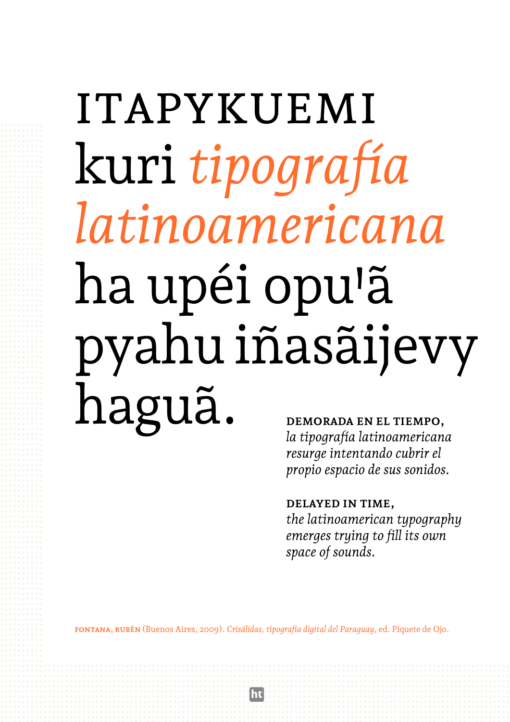# **ITAPYKUEMI** kuri tipografía latinoamericana ha upéi opu'ã pyahu iñasãijevy haguã. DEMORADA EN EL TIEMPO,

la tipografía latinoamericana resurge intentando cubrir el propio espacio de sus sonidos.

#### DELAYED IN TIME.

the latinoamerican typography emerges trying to fill its own space of sounds.

FONTANA, RUBÉN (Buenos Aires, 2009). Crisálidas, tipografía digital del Paraguay, ed. Piquete de Ojo.

ht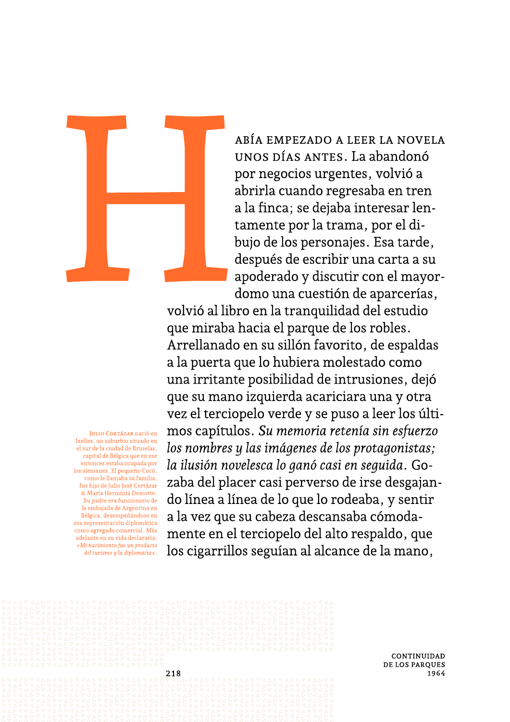

JULIO CORTÁZAR nació en Ixelles, un suburbio situado en

el sur de la ciudad de Bruselas, capital de Bélgica que en ese

entonces estaba ocupada por los alemanes. El pequeño Cocó, como le llamaba su familia,

fue hijo de Julio José Cortázar & María Herminia Descotte.

Su padre era funcionario de la embajada de Argentina en

Bélgica, desempeñándose en esa representación diplomática

del turismo y la diplomacia».

como agregado comercial. Más adelante en su vida declararía: «Mi nacimiento fue un producto

ABÍA EMPEZADO A LEER LA NOVELA UNOS DÍAS ANTES. La abandonó por negocios urgentes, volvió a abrirla cuando regresaba en tren a la finca; se dejaba interesar lentamente por la trama, por el dibujo de los personajes. Esa tarde, después de escribir una carta a su apoderado y discutir con el mayordomo una cuestión de aparcerías,

volvió al libro en la tranquilidad del estudio que miraba hacia el parque de los robles. Arrellanado en su sillón favorito, de espaldas a la puerta que lo hubiera molestado como una irritante posibilidad de intrusiones, dejó que su mano izquierda acariciara una y otra vez el terciopelo verde y se puso a leer los últimos capítulos. Su memoria retenía sin esfuerzo los nombres y las imágenes de los protagonistas; la ilusión novelesca lo ganó casi en seguida. Gozaba del placer casi perverso de irse desgajando línea a línea de lo que lo rodeaba, y sentir a la vez que su cabeza descansaba cómodamente en el terciopelo del alto respaldo, que los cigarrillos seguían al alcance de la mano,



CONTINUIDAD **DE LOS PAROUES** 1964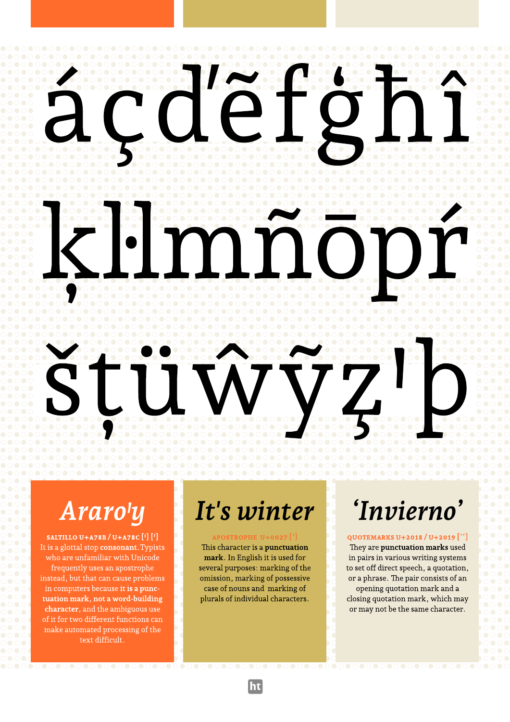#### ababababababababababababababababababababababababababababababababababababab bababababababababababababababababababababababababababababababababababababa ababababababababababababababababababababababababababababababababababababab bababababababababababababababababababababababababababababababababababababa ababababababababababababababababababababababababababababababababababababab bababababababababababababababababababababababababababababababababababababa ababababababababababababababababababababababababababababababababababababab bababababababababababababababababababababababababababababababababababababa ababababababababababababababababababababababababababababababababababababab bababababababababababababababababababababababababababababababababababababa ababababababababababababababababababababababababababababababababababababab bababababababababababababababababababababababababababababababababababababa ababababababababababababababababababababababababababababababababababababab bababababababababababababababababababababababababababababababababababababa

#### ababababababababababababababababababababababababababababababababababababab bababababababababababababababababababababababababababababababababababababa ababababababababababababababababababababababababababababababababababababab bababababababababababababababababababababababababababababababababababababa ababababababababababababababababababababababababababababababababababababab bababababababababababababababababababababababababababababababababababababa ababababababababababababababababababababababababababababababababababababab bababababababababababababababababababababababababababababababababababababa ababababababababababababababababababababababababababababababababababababab bababababababababababababababababababababababababababababababababababababa ababababababababababababababababababababababababababababababababababababab bababababababababababababababababababababababababababababababababababababa ababababababababababababababababababababababababababababababababababababab

bababababababababababababababababababababababababababababababababababababa

#### bababababababababababababababababababababababababababababababababababababa ababababababababababababababababababababababababababababababababababababab bababababababababababababababababababababababababababababababababababababa ababababababababababababababababababababababababababababababababababababab bababababababababababababababababababababababababababababababababababababa ababababababababababababababababababababababababababababababababababababab bababababababababababababababababababababababababababababababababababababa ababababababababababababababababababababababababababababababababababababab bababababababababababababababababababababababababababababababababababababa ababababababababababababababababababababababababababababababababababababab bababababababababababababababababababababababababababababababababababababa ababababababababababababababababababababababababababababababababababababab bababababababababababababababababababababababababababababababababababababa ababababababababababababababababababababababababababababababababababababab

ababababababababababababababababababababababababababababababababababababab bababababababababababababababababababababababababababababababababababababa ababababababababababababababababababababababababababababababababababababab bababababababababababababababababababababababababababababababababababababa ababababababababababababababababababababababababababababababababababababab ababababababababababababababababababababababababababababababababababababab bababababababababababababababababababababababababababababababababababababa ababababababababababababababababababababababababababababababababababababab tuation mark, not a word-building plurals of individual characters. Closing quotation mark, which may ababababababababababababababababababababababababababababababababababababab  $\overline{00000}$  character, and the amoguous use of it for two different functions can make automated processing of the ababababababababababababababababababababababababababababababababababababab bababababababababababababababababababababababababababababababababababababa

#### $\bullet$ ababababababababababababababababababababababababababababababababababababab Araro'y It's winter 'Invierno' *Araro'y It's winter 'Invierno'*

ababababababababababababababababababababababababababababababababababababab bababababababababababababababababababababababababababababababababababababa

# ababababababababababababababababababababababababababababababababababababab

frequently uses an apostrophe several purposes: marking of the to set off direct speech, a quotation,

ababababababababababababababababababababababababababababababababababababab bababababababababababababababababababababababababababababababababababababa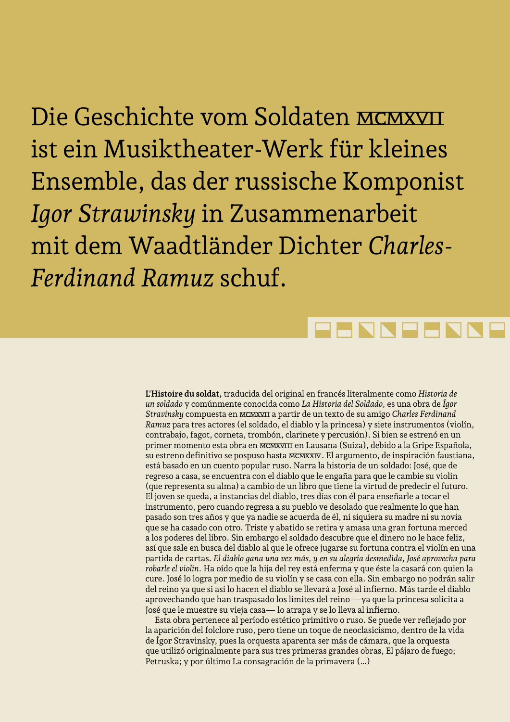Die Geschichte vom Soldaten mcmxvii ist ein Musiktheater-Werk für kleines Ensemble, das der russische Komponist *Igor Strawinsky* in Zusammenarbeit mit dem Waadtländer Dichter *Charles-Ferdinand Ramuz* schuf.

# **HNNHH**

**L'Histoire du soldat,** traducida del original en francés literalmente como *Historia de un soldado* y comúnmente conocida como *La Historia del Soldado,* es una obra de *Ígor Stravinsky* compuesta en mcmxvii a partir de un texto de su amigo *Charles Ferdinand Ramuz* para tres actores (el soldado, el diablo y la princesa) y siete instrumentos (violín, contrabajo, fagot, corneta, trombón, clarinete y percusión). Si bien se estrenó en un primer momento esta obra en mcmxviii en Lausana (Suiza), debido a la Gripe Española, su estreno definitivo se pospuso hasta mcmxxiv. El argumento, de inspiración faustiana, está basado en un cuento popular ruso. Narra la historia de un soldado: José, que de regreso a casa, se encuentra con el diablo que le engaña para que le cambie su violín (que representa su alma) a cambio de un libro que tiene la virtud de predecir el futuro. El joven se queda, a instancias del diablo, tres días con él para enseñarle a tocar el instrumento, pero cuando regresa a su pueblo ve desolado que realmente lo que han pasado son tres años y que ya nadie se acuerda de él, ni siquiera su madre ni su novia que se ha casado con otro. Triste y abatido se retira y amasa una gran fortuna merced a los poderes del libro. Sin embargo el soldado descubre que el dinero no le hace feliz, así que sale en busca del diablo al que le ofrece jugarse su fortuna contra el violín en una partida de cartas. *El diablo gana una vez más, y en su alegría desmedida, José aprovecha para robarle el violín.* Ha oído que la hija del rey está enferma y que éste la casará con quien la cure. José lo logra por medio de su violín y se casa con ella. Sin embargo no podrán salir del reino ya que si así lo hacen el diablo se llevará a José al infierno. Más tarde el diablo aprovechando que han traspasado los límites del reino —ya que la princesa solicita a José que le muestre su vieja casa— lo atrapa y se lo lleva al infierno.

Esta obra pertenece al período estético primitivo o ruso. Se puede ver reflejado por la aparición del folclore ruso, pero tiene un toque de neoclasicismo, dentro de la vida de Ígor Stravinsky, pues la orquesta aparenta ser más de cámara, que la orquesta que utilizó originalmente para sus tres primeras grandes obras, El pájaro de fuego; Petruska; y por último La consagración de la primavera (…)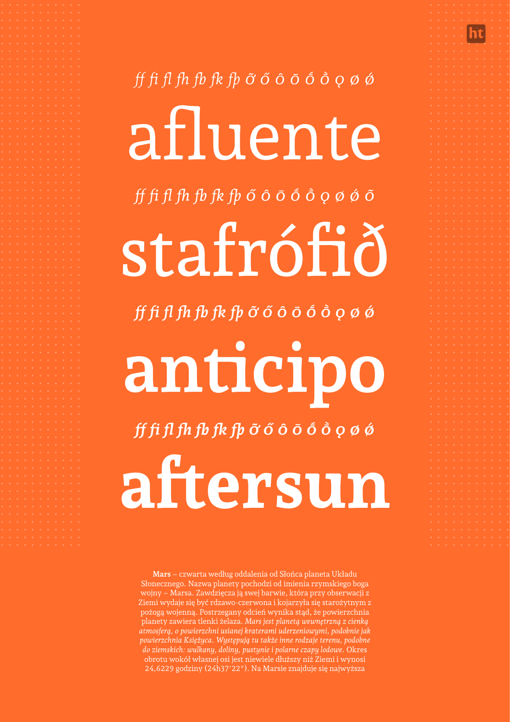# ff fi fl fh fb fk fþ  $\tilde{o}$  ó ô ō ō ô  $\rho$  ø ø afluente ff fi fl fh fb fk fþ ő ô ō ō ô q ø ø õ stafrófið ff fi fl fh fb fk fþ ỡ ő ô ō ō ô ò ọ ø ø anticipo ff fi fl fh fb fk fþ  $\tilde{o}$  ó ô ō ō ô  $\rho$  ø ø

aftersun

Mars - czwarta według oddalenia od Słońca planeta Układu Słonecznego. Nazwa planety pochodzi od imienia rzymskiego boga wojny – Marsa. Zawdzięcza ją swej barwie, która przy obserwacji z Ziemi wydaje się być rdzawo-czerwona i kojarzyła się starożytnym z pożogą wojenną. Postrzegany odcień wynika stąd, że powierzchnia planety zawiera tlenki żelaza. Mars jest planetą wewnętrzną z cienką atmosferą, o powierzchni usianej kraterami uderzeniowymi, podobnie jak powierzchnia Księżyca. Występują tu także inne rodzaje terenu, podobne do ziemskich: wulkany, doliny, pustynie i polarne czapy lodowe. Okres obrotu wokół własnej osi jest niewiele dłuższy niż Ziemi i wynosi 24,6229 godziny (24h37'22"). Na Marsie znajduje się najwyższa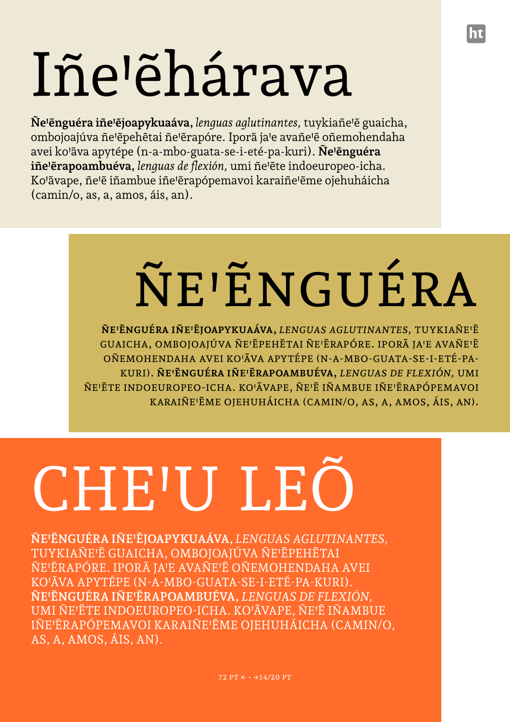# Iñe'ehárava

**Ñe'ẽnguéra iñe'ẽjoapykuaáva,** *lenguas aglutinantes,* tuykiañe'ẽ guaicha, ombojoajúva ñe'ẽpehẽtai ñe'ẽrapóre. Iporã ja'e avañe'ẽ oñemohendaha avei ko'ãva apytépe (n-a-mbo-guata-se-i-eté-pa-kuri). **Ñe'ẽnguéra iñe'ẽrapoambuéva,** *lenguas de flexión,* umi ñe'ẽte indoeuropeo-icha. Ko'ãvape, ñe'ẽ iñambue iñe'ẽrapópemavoi karaiñe'ẽme ojehuháicha (camin/o, as, a, amos, áis, an).

# ÑE'ËNGUÉRA

**Ñe'ẽnguéra iñe'ẽjoapykuaáva,** *lenguas aglutinantes,* tuykiañeꞌẽ GUAICHA, OMBOJOAJÚVA ÑE'ĚPEHĚTAI ÑE'ĚRAPÓRE. IPORÃ JA'E AVAÑE'Ě oñemohendaha avei koꞌãva apytépe (n-a-mbo-guata-se-i-eté-pakuri). **Ñe'ẽnguéra iñe'ẽrapoambuéva,** *lenguas de flexión,* umi ÑE'ĔTE INDOEUROPEO-ICHA. KO'ÃVAPE, ÑE'Ě IÑAMBUE IÑE'ĔRAPÓPEMAVOI KARAIÑE'ĔME OJEHUHÁICHA (CAMIN/O, AS, A, AMOS, ÁIS, AN).

# CHE'U LEÕ

**ÑE'ẼNGUÉRA IÑE'ẼJOAPYKUAÁVA,** *LENGUAS AGLUTINANTES,* TUYKIAÑEꞋẼ GUAICHA, OMBOJOAJÚVA ÑEꞋẼPEHẼTAI ÑEꞋẼRAPÓRE. IPORÃ JAꞋE AVAÑEꞋẼ OÑEMOHENDAHA AVEI KOꞋÃVA APYTÉPE (N-A-MBO-GUATA-SE-I-ETÉ-PA-KURI). **ÑE'ẼNGUÉRA IÑE'ẼRAPOAMBUÉVA,** *LENGUAS DE FLEXIÓN,* UMI ÑEꞋẼTE INDOEUROPEO-ICHA. KOꞋÃVAPE, ÑEꞋẼ IÑAMBUE IÑE'ĒRAPÓPEMAVOI KARAIÑE'ĒME OJEHUHÁICHA (CAMIN/O, AS, A, AMOS, ÁIS, AN).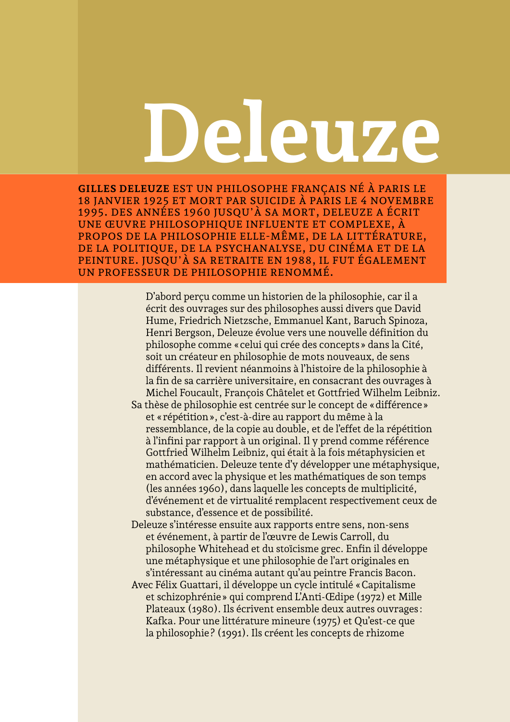# **Deleuze**

**Gilles Deleuze** est un philosophe français né à Paris le 18 janvier 1925 et mort par suicide à Paris le 4 novembre 1995. Des années 1960 jusqu'à sa mort, Deleuze a écrit une œuvre philosophique influente et complexe, à propos de la philosophie elle-même, de la littérature, de la politique, de la psychanalyse, du cinéma et de la peinture. Jusqu'à sa retraite en 1988, il fut également un professeur de philosophie renommé.

> D'abord perçu comme un historien de la philosophie, car il a écrit des ouvrages sur des philosophes aussi divers que David Hume, Friedrich Nietzsche, Emmanuel Kant, Baruch Spinoza, Henri Bergson, Deleuze évolue vers une nouvelle définition du philosophe comme «celui qui crée des concepts» dans la Cité, soit un créateur en philosophie de mots nouveaux, de sens différents. Il revient néanmoins à l'histoire de la philosophie à la fin de sa carrière universitaire, en consacrant des ouvrages à Michel Foucault, François Châtelet et Gottfried Wilhelm Leibniz.

Sa thèse de philosophie est centrée sur le concept de «différence» et «répétition», c'est-à-dire au rapport du même à la ressemblance, de la copie au double, et de l'effet de la répétition à l'infini par rapport à un original. Il y prend comme référence Gottfried Wilhelm Leibniz, qui était à la fois métaphysicien et mathématicien. Deleuze tente d'y développer une métaphysique, en accord avec la physique et les mathématiques de son temps (les années 1960), dans laquelle les concepts de multiplicité, d'événement et de virtualité remplacent respectivement ceux de substance, d'essence et de possibilité.

Deleuze s'intéresse ensuite aux rapports entre sens, non-sens et événement, à partir de l'œuvre de Lewis Carroll, du philosophe Whitehead et du stoïcisme grec. Enfin il développe une métaphysique et une philosophie de l'art originales en s'intéressant au cinéma autant qu'au peintre Francis Bacon.

Avec Félix Guattari, il développe un cycle intitulé «Capitalisme et schizophrénie» qui comprend L'Anti-Œdipe (1972) et Mille Plateaux (1980). Ils écrivent ensemble deux autres ouvrages: Kafka. Pour une littérature mineure (1975) et Qu'est-ce que la philosophie? (1991). Ils créent les concepts de rhizome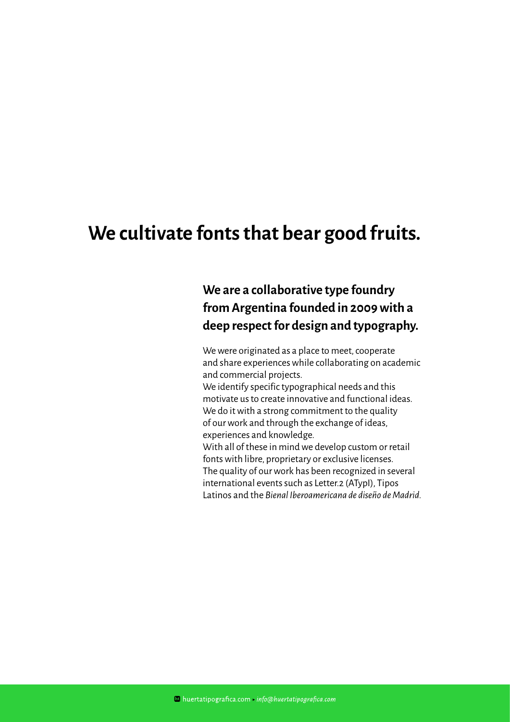### **We cultivate fonts that bear good fruits.**

### **We are a collaborative type foundry from Argentina founded in 2009 with a deep respect for design and typography.**

We were originated as a place to meet, cooperate and share experiences while collaborating on academic and commercial projects.

We identify specific typographical needs and this motivate us to create innovative and functional ideas. We do it with a strong commitment to the quality of our work and through the exchange of ideas, experiences and knowledge.

With all of these in mind we develop custom or retail fonts with libre, proprietary or exclusive licenses. The quality of our work has been recognized in several international events such as Letter.2 (ATypI), Tipos Latinos and the *Bienal Iberoamericana de diseño de Madrid.*